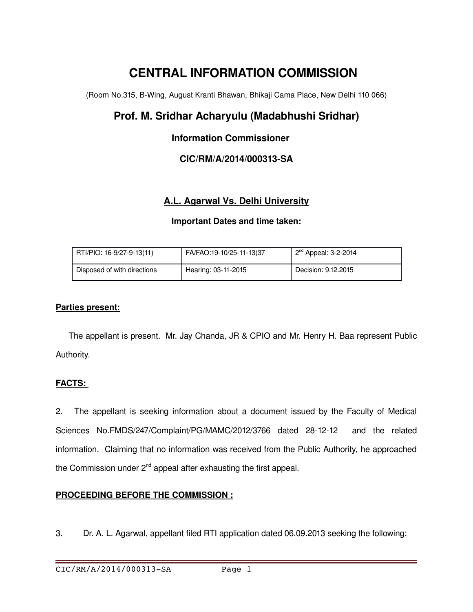# **CENTRAL INFORMATION COMMISSION**

(Room No.315, B-Wing, August Kranti Bhawan, Bhikaji Cama Place, New Delhi 110 066)

# **Prof. M. Sridhar Acharyulu (Madabhushi Sridhar)**

# **Information Commissioner**

# **CIC/RM/A/2014/000313SA**

# **A.L. Agarwal Vs. Delhi University**

#### **Important Dates and time taken:**

| RTI/PIO: 16-9/27-9-13(11)   | FA/FAO:19-10/25-11-13(37 | $2nd$ Appeal: 3-2-2014 |
|-----------------------------|--------------------------|------------------------|
| Disposed of with directions | Hearing: 03-11-2015      | Decision: 9.12.2015    |

#### **Parties present:**

 The appellant is present. Mr. Jay Chanda, JR & CPIO and Mr. Henry H. Baa represent Public Authority.

#### **FACTS:**

2. The appellant is seeking information about a document issued by the Faculty of Medical Sciences No.FMDS/247/Complaint/PG/MAMC/2012/3766 dated 28-12-12 and the related information. Claiming that no information was received from the Public Authority, he approached the Commission under  $2^{nd}$  appeal after exhausting the first appeal.

### **PROCEEDING BEFORE THE COMMISSION :**

3. Dr. A. L. Agarwal, appellant filed RTI application dated 06.09.2013 seeking the following: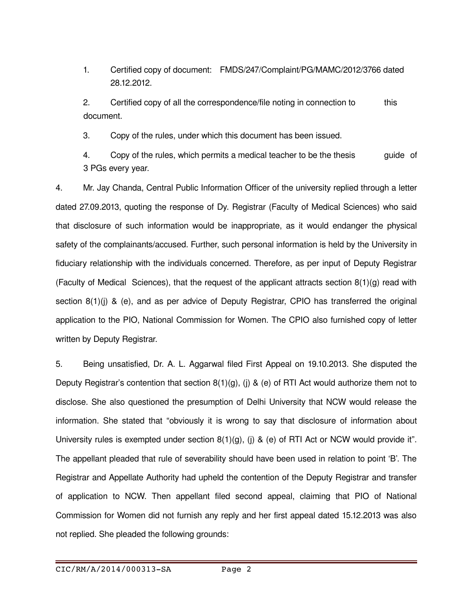1. Certified copy of document: FMDS/247/Complaint/PG/MAMC/2012/3766 dated 28.12.2012.

2. Certified copy of all the correspondence/file noting in connection to this document.

3. Copy of the rules, under which this document has been issued.

4. Copy of the rules, which permits a medical teacher to be the thesis guide of 3 PGs every year.

4. Mr. Jay Chanda, Central Public Information Officer of the university replied through a letter dated 27.09.2013, quoting the response of Dy. Registrar (Faculty of Medical Sciences) who said that disclosure of such information would be inappropriate, as it would endanger the physical safety of the complainants/accused. Further, such personal information is held by the University in fiduciary relationship with the individuals concerned. Therefore, as per input of Deputy Registrar (Faculty of Medical Sciences), that the request of the applicant attracts section  $8(1)(g)$  read with section 8(1)(j) & (e), and as per advice of Deputy Registrar, CPIO has transferred the original application to the PIO, National Commission for Women. The CPIO also furnished copy of letter written by Deputy Registrar.

5. Being unsatisfied, Dr. A. L. Aggarwal filed First Appeal on 19.10.2013. She disputed the Deputy Registrar's contention that section  $8(1)(q)$ , (i) & (e) of RTI Act would authorize them not to disclose. She also questioned the presumption of Delhi University that NCW would release the information. She stated that "obviously it is wrong to say that disclosure of information about University rules is exempted under section  $8(1)(g)$ , (i) & (e) of RTI Act or NCW would provide it". The appellant pleaded that rule of severability should have been used in relation to point 'B'. The Registrar and Appellate Authority had upheld the contention of the Deputy Registrar and transfer of application to NCW. Then appellant filed second appeal, claiming that PIO of National Commission for Women did not furnish any reply and her first appeal dated 15.12.2013 was also not replied. She pleaded the following grounds: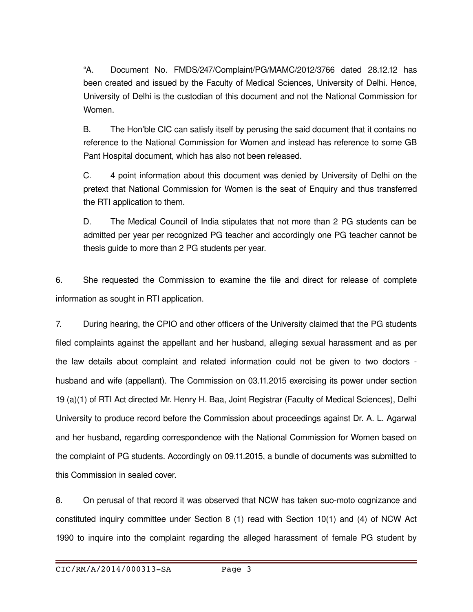"A. Document No. FMDS/247/Complaint/PG/MAMC/2012/3766 dated 28.12.12 has been created and issued by the Faculty of Medical Sciences, University of Delhi. Hence, University of Delhi is the custodian of this document and not the National Commission for Women.

B. The Hon'ble CIC can satisfy itself by perusing the said document that it contains no reference to the National Commission for Women and instead has reference to some GB Pant Hospital document, which has also not been released.

C. 4 point information about this document was denied by University of Delhi on the pretext that National Commission for Women is the seat of Enquiry and thus transferred the RTI application to them.

D. The Medical Council of India stipulates that not more than 2 PG students can be admitted per year per recognized PG teacher and accordingly one PG teacher cannot be thesis guide to more than 2 PG students per year.

6. She requested the Commission to examine the file and direct for release of complete information as sought in RTI application.

7. During hearing, the CPIO and other officers of the University claimed that the PG students filed complaints against the appellant and her husband, alleging sexual harassment and as per the law details about complaint and related information could not be given to two doctors husband and wife (appellant). The Commission on 03.11.2015 exercising its power under section 19 (a)(1) of RTI Act directed Mr. Henry H. Baa, Joint Registrar (Faculty of Medical Sciences), Delhi University to produce record before the Commission about proceedings against Dr. A. L. Agarwal and her husband, regarding correspondence with the National Commission for Women based on the complaint of PG students. Accordingly on 09.11.2015, a bundle of documents was submitted to this Commission in sealed cover.

8. On perusal of that record it was observed that NCW has taken suo-moto cognizance and constituted inquiry committee under Section 8 (1) read with Section 10(1) and (4) of NCW Act 1990 to inquire into the complaint regarding the alleged harassment of female PG student by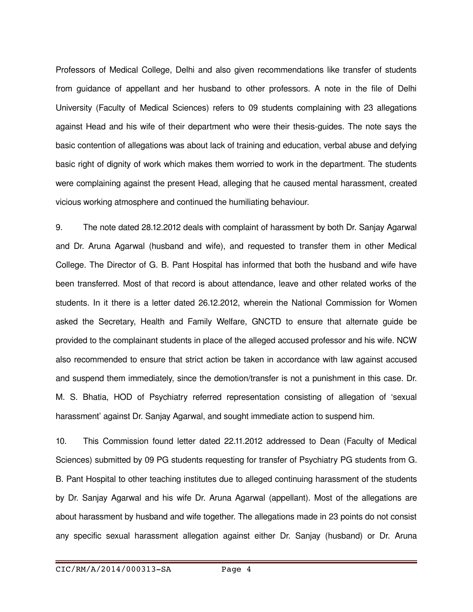Professors of Medical College, Delhi and also given recommendations like transfer of students from guidance of appellant and her husband to other professors. A note in the file of Delhi University (Faculty of Medical Sciences) refers to 09 students complaining with 23 allegations against Head and his wife of their department who were their thesis-guides. The note says the basic contention of allegations was about lack of training and education, verbal abuse and defying basic right of dignity of work which makes them worried to work in the department. The students were complaining against the present Head, alleging that he caused mental harassment, created vicious working atmosphere and continued the humiliating behaviour.

9. The note dated 28.12.2012 deals with complaint of harassment by both Dr. Sanjay Agarwal and Dr. Aruna Agarwal (husband and wife), and requested to transfer them in other Medical College. The Director of G. B. Pant Hospital has informed that both the husband and wife have been transferred. Most of that record is about attendance, leave and other related works of the students. In it there is a letter dated 26.12.2012, wherein the National Commission for Women asked the Secretary, Health and Family Welfare, GNCTD to ensure that alternate guide be provided to the complainant students in place of the alleged accused professor and his wife. NCW also recommended to ensure that strict action be taken in accordance with law against accused and suspend them immediately, since the demotion/transfer is not a punishment in this case. Dr. M. S. Bhatia, HOD of Psychiatry referred representation consisting of allegation of 'sexual harassment' against Dr. Sanjay Agarwal, and sought immediate action to suspend him.

10. This Commission found letter dated 22.11.2012 addressed to Dean (Faculty of Medical Sciences) submitted by 09 PG students requesting for transfer of Psychiatry PG students from G. B. Pant Hospital to other teaching institutes due to alleged continuing harassment of the students by Dr. Sanjay Agarwal and his wife Dr. Aruna Agarwal (appellant). Most of the allegations are about harassment by husband and wife together. The allegations made in 23 points do not consist any specific sexual harassment allegation against either Dr. Sanjay (husband) or Dr. Aruna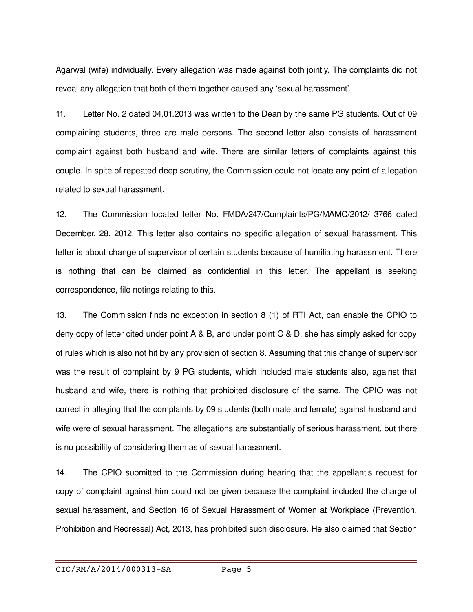Agarwal (wife) individually. Every allegation was made against both jointly. The complaints did not reveal any allegation that both of them together caused any 'sexual harassment'.

11. Letter No. 2 dated 04.01.2013 was written to the Dean by the same PG students. Out of 09 complaining students, three are male persons. The second letter also consists of harassment complaint against both husband and wife. There are similar letters of complaints against this couple. In spite of repeated deep scrutiny, the Commission could not locate any point of allegation related to sexual harassment.

12. The Commission located letter No. FMDA/247/Complaints/PG/MAMC/2012/ 3766 dated December, 28, 2012. This letter also contains no specific allegation of sexual harassment. This letter is about change of supervisor of certain students because of humiliating harassment. There is nothing that can be claimed as confidential in this letter. The appellant is seeking correspondence, file notings relating to this.

13. The Commission finds no exception in section 8 (1) of RTI Act, can enable the CPIO to deny copy of letter cited under point A & B, and under point C & D, she has simply asked for copy of rules which is also not hit by any provision of section 8. Assuming that this change of supervisor was the result of complaint by 9 PG students, which included male students also, against that husband and wife, there is nothing that prohibited disclosure of the same. The CPIO was not correct in alleging that the complaints by 09 students (both male and female) against husband and wife were of sexual harassment. The allegations are substantially of serious harassment, but there is no possibility of considering them as of sexual harassment.

14. The CPIO submitted to the Commission during hearing that the appellant's request for copy of complaint against him could not be given because the complaint included the charge of sexual harassment, and Section 16 of Sexual Harassment of Women at Workplace (Prevention, Prohibition and Redressal) Act, 2013, has prohibited such disclosure. He also claimed that Section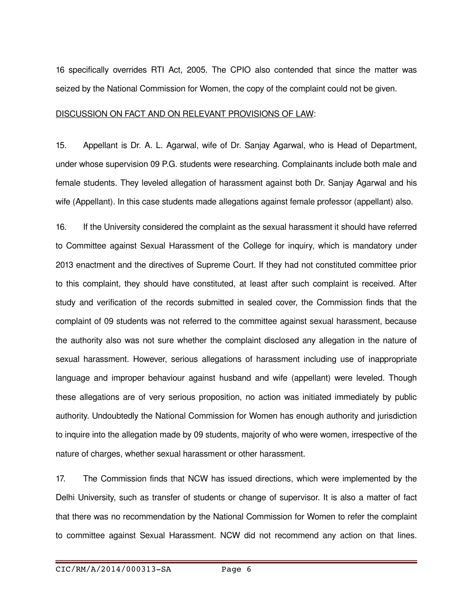16 specifically overrides RTI Act, 2005. The CPIO also contended that since the matter was seized by the National Commission for Women, the copy of the complaint could not be given.

#### DISCUSSION ON FACT AND ON RELEVANT PROVISIONS OF LAW:

15. Appellant is Dr. A. L. Agarwal, wife of Dr. Sanjay Agarwal, who is Head of Department, under whose supervision 09 P.G. students were researching. Complainants include both male and female students. They leveled allegation of harassment against both Dr. Sanjay Agarwal and his wife (Appellant). In this case students made allegations against female professor (appellant) also.

16. If the University considered the complaint as the sexual harassment it should have referred to Committee against Sexual Harassment of the College for inquiry, which is mandatory under 2013 enactment and the directives of Supreme Court. If they had not constituted committee prior to this complaint, they should have constituted, at least after such complaint is received. After study and verification of the records submitted in sealed cover, the Commission finds that the complaint of 09 students was not referred to the committee against sexual harassment, because the authority also was not sure whether the complaint disclosed any allegation in the nature of sexual harassment. However, serious allegations of harassment including use of inappropriate language and improper behaviour against husband and wife (appellant) were leveled. Though these allegations are of very serious proposition, no action was initiated immediately by public authority. Undoubtedly the National Commission for Women has enough authority and jurisdiction to inquire into the allegation made by 09 students, majority of who were women, irrespective of the nature of charges, whether sexual harassment or other harassment.

17. The Commission finds that NCW has issued directions, which were implemented by the Delhi University, such as transfer of students or change of supervisor. It is also a matter of fact that there was no recommendation by the National Commission for Women to refer the complaint to committee against Sexual Harassment. NCW did not recommend any action on that lines.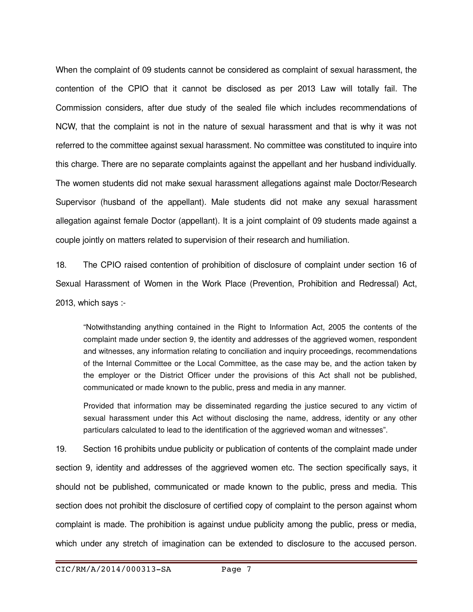When the complaint of 09 students cannot be considered as complaint of sexual harassment, the contention of the CPIO that it cannot be disclosed as per 2013 Law will totally fail. The Commission considers, after due study of the sealed file which includes recommendations of NCW, that the complaint is not in the nature of sexual harassment and that is why it was not referred to the committee against sexual harassment. No committee was constituted to inquire into this charge. There are no separate complaints against the appellant and her husband individually. The women students did not make sexual harassment allegations against male Doctor/Research Supervisor (husband of the appellant). Male students did not make any sexual harassment allegation against female Doctor (appellant). It is a joint complaint of 09 students made against a couple jointly on matters related to supervision of their research and humiliation.

18. The CPIO raised contention of prohibition of disclosure of complaint under section 16 of Sexual Harassment of Women in the Work Place (Prevention, Prohibition and Redressal) Act, 2013, which says :

"Notwithstanding anything contained in the Right to Information Act, 2005 the contents of the complaint made under section 9, the identity and addresses of the aggrieved women, respondent and witnesses, any information relating to conciliation and inquiry proceedings, recommendations of the Internal Committee or the Local Committee, as the case may be, and the action taken by the employer or the District Officer under the provisions of this Act shall not be published, communicated or made known to the public, press and media in any manner.

Provided that information may be disseminated regarding the justice secured to any victim of sexual harassment under this Act without disclosing the name, address, identity or any other particulars calculated to lead to the identification of the aggrieved woman and witnesses".

19. Section 16 prohibits undue publicity or publication of contents of the complaint made under section 9, identity and addresses of the aggrieved women etc. The section specifically says, it should not be published, communicated or made known to the public, press and media. This section does not prohibit the disclosure of certified copy of complaint to the person against whom complaint is made. The prohibition is against undue publicity among the public, press or media, which under any stretch of imagination can be extended to disclosure to the accused person.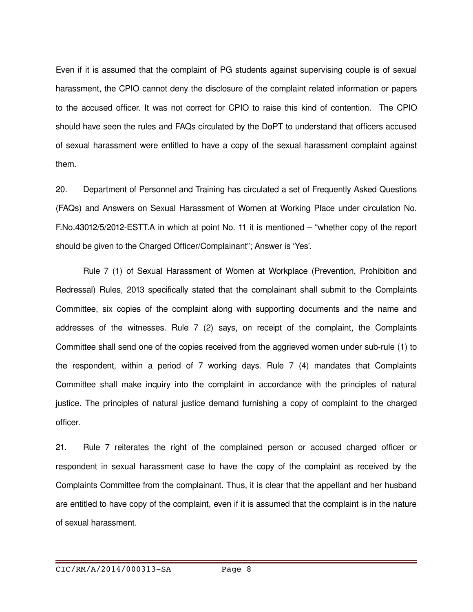Even if it is assumed that the complaint of PG students against supervising couple is of sexual harassment, the CPIO cannot deny the disclosure of the complaint related information or papers to the accused officer. It was not correct for CPIO to raise this kind of contention. The CPIO should have seen the rules and FAQs circulated by the DoPT to understand that officers accused of sexual harassment were entitled to have a copy of the sexual harassment complaint against them.

20. Department of Personnel and Training has circulated a set of Frequently Asked Questions (FAQs) and Answers on Sexual Harassment of Women at Working Place under circulation No. F.No.43012/5/2012ESTT.A in which at point No. 11 it is mentioned – "whether copy of the report should be given to the Charged Officer/Complainant"; Answer is 'Yes'.

Rule 7 (1) of Sexual Harassment of Women at Workplace (Prevention, Prohibition and Redressal) Rules, 2013 specifically stated that the complainant shall submit to the Complaints Committee, six copies of the complaint along with supporting documents and the name and addresses of the witnesses. Rule 7 (2) says, on receipt of the complaint, the Complaints Committee shall send one of the copies received from the aggrieved women under subrule (1) to the respondent, within a period of 7 working days. Rule 7 (4) mandates that Complaints Committee shall make inquiry into the complaint in accordance with the principles of natural justice. The principles of natural justice demand furnishing a copy of complaint to the charged officer.

21. Rule 7 reiterates the right of the complained person or accused charged officer or respondent in sexual harassment case to have the copy of the complaint as received by the Complaints Committee from the complainant. Thus, it is clear that the appellant and her husband are entitled to have copy of the complaint, even if it is assumed that the complaint is in the nature of sexual harassment.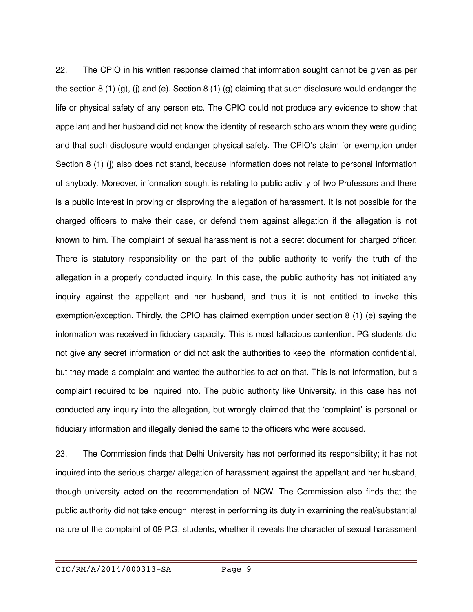22. The CPIO in his written response claimed that information sought cannot be given as per the section 8 (1) (g), (j) and (e). Section 8 (1) (g) claiming that such disclosure would endanger the life or physical safety of any person etc. The CPIO could not produce any evidence to show that appellant and her husband did not know the identity of research scholars whom they were guiding and that such disclosure would endanger physical safety. The CPIO's claim for exemption under Section 8 (1) (j) also does not stand, because information does not relate to personal information of anybody. Moreover, information sought is relating to public activity of two Professors and there is a public interest in proving or disproving the allegation of harassment. It is not possible for the charged officers to make their case, or defend them against allegation if the allegation is not known to him. The complaint of sexual harassment is not a secret document for charged officer. There is statutory responsibility on the part of the public authority to verify the truth of the allegation in a properly conducted inquiry. In this case, the public authority has not initiated any inquiry against the appellant and her husband, and thus it is not entitled to invoke this exemption/exception. Thirdly, the CPIO has claimed exemption under section 8 (1) (e) saying the information was received in fiduciary capacity. This is most fallacious contention. PG students did not give any secret information or did not ask the authorities to keep the information confidential, but they made a complaint and wanted the authorities to act on that. This is not information, but a complaint required to be inquired into. The public authority like University, in this case has not conducted any inquiry into the allegation, but wrongly claimed that the 'complaint' is personal or fiduciary information and illegally denied the same to the officers who were accused.

23. The Commission finds that Delhi University has not performed its responsibility; it has not inquired into the serious charge/ allegation of harassment against the appellant and her husband, though university acted on the recommendation of NCW. The Commission also finds that the public authority did not take enough interest in performing its duty in examining the real/substantial nature of the complaint of 09 P.G. students, whether it reveals the character of sexual harassment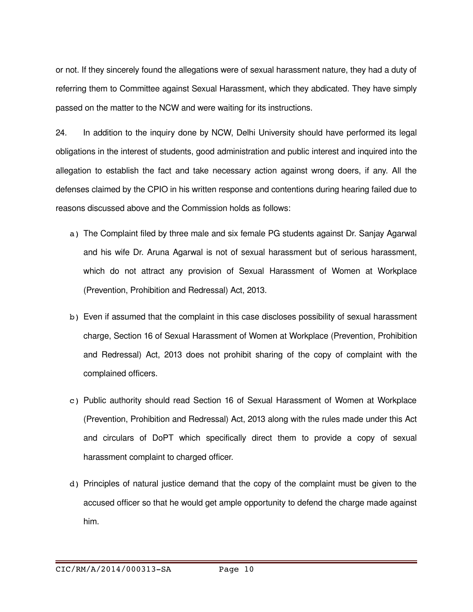or not. If they sincerely found the allegations were of sexual harassment nature, they had a duty of referring them to Committee against Sexual Harassment, which they abdicated. They have simply passed on the matter to the NCW and were waiting for its instructions.

24. In addition to the inquiry done by NCW, Delhi University should have performed its legal obligations in the interest of students, good administration and public interest and inquired into the allegation to establish the fact and take necessary action against wrong doers, if any. All the defenses claimed by the CPIO in his written response and contentions during hearing failed due to reasons discussed above and the Commission holds as follows:

- a) The Complaint filed by three male and six female PG students against Dr. Sanjay Agarwal and his wife Dr. Aruna Agarwal is not of sexual harassment but of serious harassment, which do not attract any provision of Sexual Harassment of Women at Workplace (Prevention, Prohibition and Redressal) Act, 2013.
- b) Even if assumed that the complaint in this case discloses possibility of sexual harassment charge, Section 16 of Sexual Harassment of Women at Workplace (Prevention, Prohibition and Redressal) Act, 2013 does not prohibit sharing of the copy of complaint with the complained officers.
- c) Public authority should read Section 16 of Sexual Harassment of Women at Workplace (Prevention, Prohibition and Redressal) Act, 2013 along with the rules made under this Act and circulars of DoPT which specifically direct them to provide a copy of sexual harassment complaint to charged officer.
- d) Principles of natural justice demand that the copy of the complaint must be given to the accused officer so that he would get ample opportunity to defend the charge made against him.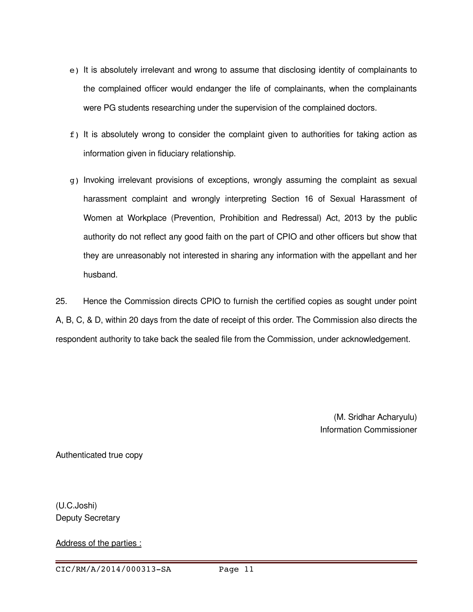- e) It is absolutely irrelevant and wrong to assume that disclosing identity of complainants to the complained officer would endanger the life of complainants, when the complainants were PG students researching under the supervision of the complained doctors.
- f) It is absolutely wrong to consider the complaint given to authorities for taking action as information given in fiduciary relationship.
- g) Invoking irrelevant provisions of exceptions, wrongly assuming the complaint as sexual harassment complaint and wrongly interpreting Section 16 of Sexual Harassment of Women at Workplace (Prevention, Prohibition and Redressal) Act, 2013 by the public authority do not reflect any good faith on the part of CPIO and other officers but show that they are unreasonably not interested in sharing any information with the appellant and her husband.

25. Hence the Commission directs CPIO to furnish the certified copies as sought under point A, B, C, & D, within 20 days from the date of receipt of this order. The Commission also directs the respondent authority to take back the sealed file from the Commission, under acknowledgement.

> (M. Sridhar Acharyulu) Information Commissioner

Authenticated true copy

(U.C.Joshi) Deputy Secretary

Address of the parties :